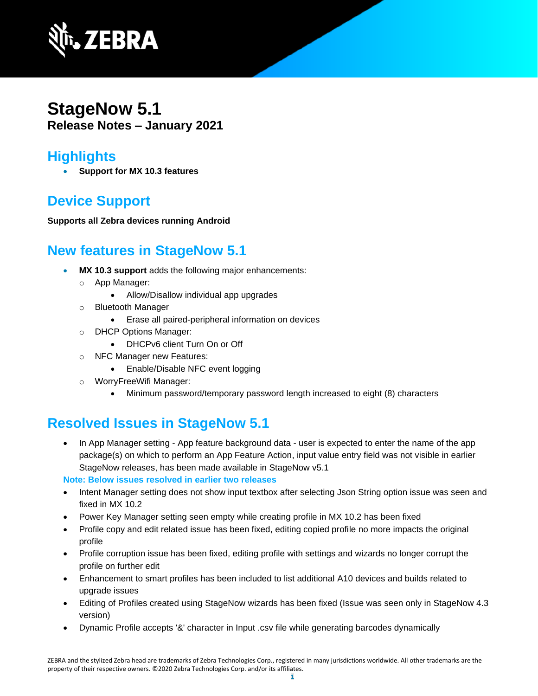

## **StageNow 5.1 Release Notes – January 2021**

#### **Highlights**

• **Support for MX 10.3 features**

## **Device Support**

**Supports all Zebra devices running Android**

### **New features in StageNow 5.1**

- **MX 10.3 support** adds the following major enhancements:
	- o App Manager:
		- Allow/Disallow individual app upgrades
	- o Bluetooth Manager
		- Erase all paired-peripheral information on devices
	- o DHCP Options Manager:
		- DHCPv6 client Turn On or Off
	- o NFC Manager new Features:
		- Enable/Disable NFC event logging
	- o WorryFreeWifi Manager:
		- Minimum password/temporary password length increased to eight (8) characters

### **Resolved Issues in StageNow 5.1**

• In App Manager setting - App feature background data - user is expected to enter the name of the app package(s) on which to perform an App Feature Action, input value entry field was not visible in earlier StageNow releases, has been made available in StageNow v5.1

**Note: Below issues resolved in earlier two releases**

- Intent Manager setting does not show input textbox after selecting Json String option issue was seen and fixed in MX 10.2
- Power Key Manager setting seen empty while creating profile in MX 10.2 has been fixed
- Profile copy and edit related issue has been fixed, editing copied profile no more impacts the original profile
- Profile corruption issue has been fixed, editing profile with settings and wizards no longer corrupt the profile on further edit
- Enhancement to smart profiles has been included to list additional A10 devices and builds related to upgrade issues
- Editing of Profiles created using StageNow wizards has been fixed (Issue was seen only in StageNow 4.3 version)
- Dynamic Profile accepts '&' character in Input .csv file while generating barcodes dynamically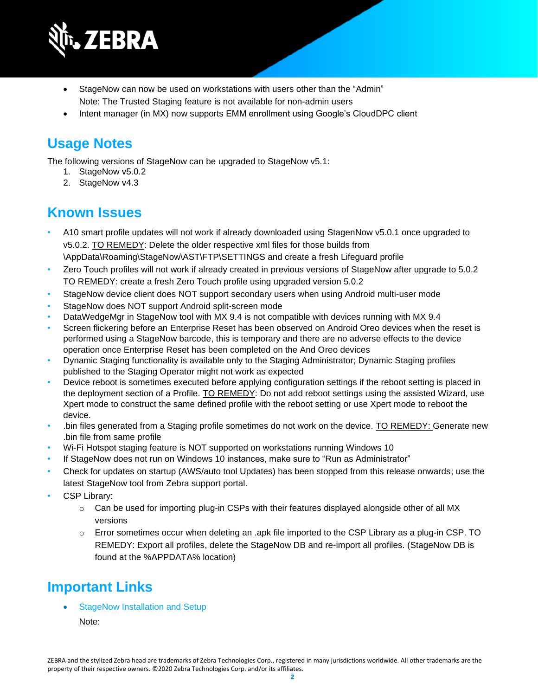

- StageNow can now be used on workstations with users other than the "Admin" Note: The Trusted Staging feature is not available for non-admin users
- Intent manager (in MX) now supports EMM enrollment using Google's CloudDPC client

# **Usage Notes**

The following versions of StageNow can be upgraded to StageNow v5.1:

- 1. StageNow v5.0.2
- 2. StageNow v4.3

### **Known Issues**

- A10 smart profile updates will not work if already downloaded using StagenNow v5.0.1 once upgraded to v5.0.2. TO REMEDY: Delete the older respective xml files for those builds from \AppData\Roaming\StageNow\AST\FTP\SETTINGS and create a fresh Lifeguard profile
- Zero Touch profiles will not work if already created in previous versions of StageNow after upgrade to 5.0.2 TO REMEDY: create a fresh Zero Touch profile using upgraded version 5.0.2
- StageNow device client does NOT support secondary users when using Android multi-user mode
- StageNow does NOT support Android split-screen mode
- DataWedgeMgr in StageNow tool with MX 9.4 is not compatible with devices running with MX 9.4
- Screen flickering before an Enterprise Reset has been observed on Android Oreo devices when the reset is performed using a StageNow barcode, this is temporary and there are no adverse effects to the device operation once Enterprise Reset has been completed on the And Oreo devices
- Dynamic Staging functionality is available only to the Staging Administrator; Dynamic Staging profiles published to the Staging Operator might not work as expected
- Device reboot is sometimes executed before applying configuration settings if the reboot setting is placed in the deployment section of a Profile. TO REMEDY: Do not add reboot settings using the assisted Wizard, use Xpert mode to construct the same defined profile with the reboot setting or use Xpert mode to reboot the device.
- .bin files generated from a Staging profile sometimes do not work on the device. TO REMEDY: Generate new .bin file from same profile
- Wi-Fi Hotspot staging feature is NOT supported on workstations running Windows 10
- If StageNow does not run on Windows 10 instances, make sure to "Run as Administrator"
- Check for updates on startup (AWS/auto tool Updates) has been stopped from this release onwards; use the latest StageNow tool from Zebra support portal.
- CSP Library:
	- $\circ$  Can be used for importing plug-in CSPs with their features displayed alongside other of all MX versions
	- $\circ$  Error sometimes occur when deleting an .apk file imported to the CSP Library as a plug-in CSP. TO REMEDY: Export all profiles, delete the StageNow DB and re-import all profiles. (StageNow DB is found at the %APPDATA% location)

# **Important Link[s](http://techdocs.zebra.com/stagenow/)**

[StageNow Installation and Setup](http://techdocs.zebra.com/stagenow/latest/installing/)

Note: